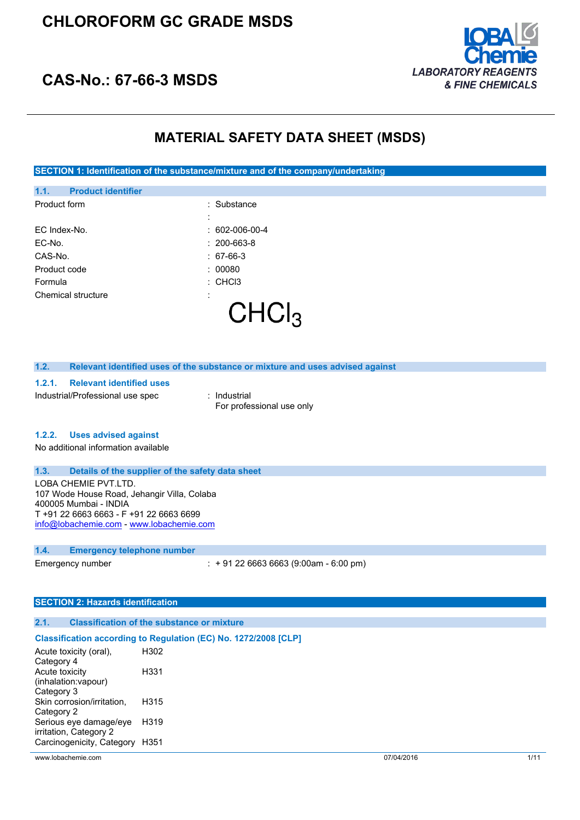

## **CAS-No.: 67-66-3 MSDS**

## **MATERIAL SAFETY DATA SHEET (MSDS)**

**SECTION 1: Identification of the substance/mixture and of the company/undertaking**

| 1.1.    | <b>Product identifier</b> |                        |
|---------|---------------------------|------------------------|
|         | Product form              | : Substance            |
|         |                           |                        |
|         | EC Index-No.              | $: 602 - 006 - 00 - 4$ |
| EC-No.  |                           | $: 200 - 663 - 8$      |
| CAS-No. |                           | $: 67-66-3$            |
|         | Product code              | 00080                  |
| Formula |                           | $:$ CHCl3              |
|         | Chemical structure        |                        |
|         |                           |                        |
|         |                           |                        |

### **1.2. Relevant identified uses of the substance or mixture and uses advised against**

#### **1.2.1. Relevant identified uses**

Industrial/Professional use spec : Industrial

For professional use only

#### **1.2.2. Uses advised against**

No additional information available

#### **1.3. Details of the supplier of the safety data sheet**

LOBA CHEMIE PVT.LTD. 107 Wode House Road, Jehangir Villa, Colaba 400005 Mumbai - INDIA T +91 22 6663 6663 - F +91 22 6663 6699 [info@lobachemie.com](mailto:info@lobachemie.com) - <www.lobachemie.com>

### **1.4. Emergency telephone number**

Emergency number : + 91 22 6663 6663 (9:00am - 6:00 pm)

## **SECTION 2: Hazards identification**

## **2.1. Classification of the substance or mixture**

### **Classification according to Regulation (EC) No. 1272/2008 [CLP]**

| Acute toxicity (oral),     | H302 |
|----------------------------|------|
| Category 4                 |      |
| <b>Acute toxicity</b>      | H331 |
| (inhalation: vapour)       |      |
| Category 3                 |      |
| Skin corrosion/irritation, | H315 |
| Category 2                 |      |
| Serious eye damage/eye     | H319 |
| irritation, Category 2     |      |
| Carcinogenicity, Category  | H351 |
|                            |      |

www.lobachemie.com 07/04/2016 1/11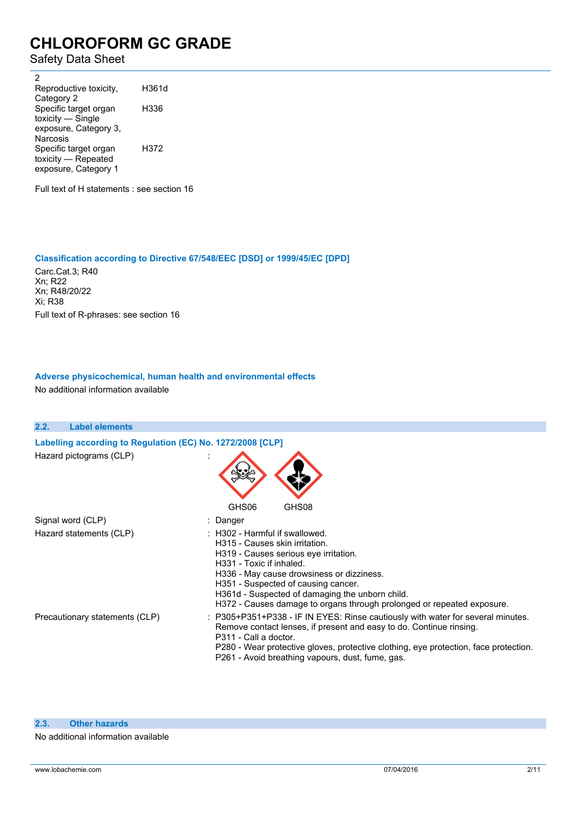Safety Data Sheet

2 Reproductive toxicity, Category 2 H361d Specific target organ toxicity — Single exposure, Category 3, Narcosis H336 Specific target organ toxicity — Repeated exposure, Category 1 H372

Full text of H statements : see section 16

### **Classification according to Directive 67/548/EEC [DSD] or 1999/45/EC [DPD]**

Carc.Cat.3; R40 Xn; R22 Xn; R48/20/22 Xi; R38 Full text of R-phrases: see section 16

## **Adverse physicochemical, human health and environmental effects**

No additional information available

| 2.2. | <b>Label elements</b>                                      |                                                                                                                                                                                                                                                                                                                                                        |
|------|------------------------------------------------------------|--------------------------------------------------------------------------------------------------------------------------------------------------------------------------------------------------------------------------------------------------------------------------------------------------------------------------------------------------------|
|      | Labelling according to Regulation (EC) No. 1272/2008 [CLP] |                                                                                                                                                                                                                                                                                                                                                        |
|      | Hazard pictograms (CLP)                                    | GHS08<br>GHS06                                                                                                                                                                                                                                                                                                                                         |
|      | Signal word (CLP)                                          | : Danger                                                                                                                                                                                                                                                                                                                                               |
|      | Hazard statements (CLP)                                    | : H302 - Harmful if swallowed.<br>H315 - Causes skin irritation.<br>H319 - Causes serious eye irritation.<br>H331 - Toxic if inhaled.<br>H336 - May cause drowsiness or dizziness.<br>H351 - Suspected of causing cancer.<br>H361d - Suspected of damaging the unborn child.<br>H372 - Causes damage to organs through prolonged or repeated exposure. |
|      | Precautionary statements (CLP)                             | : P305+P351+P338 - IF IN EYES: Rinse cautiously with water for several minutes.<br>Remove contact lenses, if present and easy to do. Continue rinsing.<br>P311 - Call a doctor.<br>P280 - Wear protective gloves, protective clothing, eye protection, face protection.<br>P261 - Avoid breathing vapours, dust, fume, gas.                            |

### **2.3. Other hazards**

No additional information available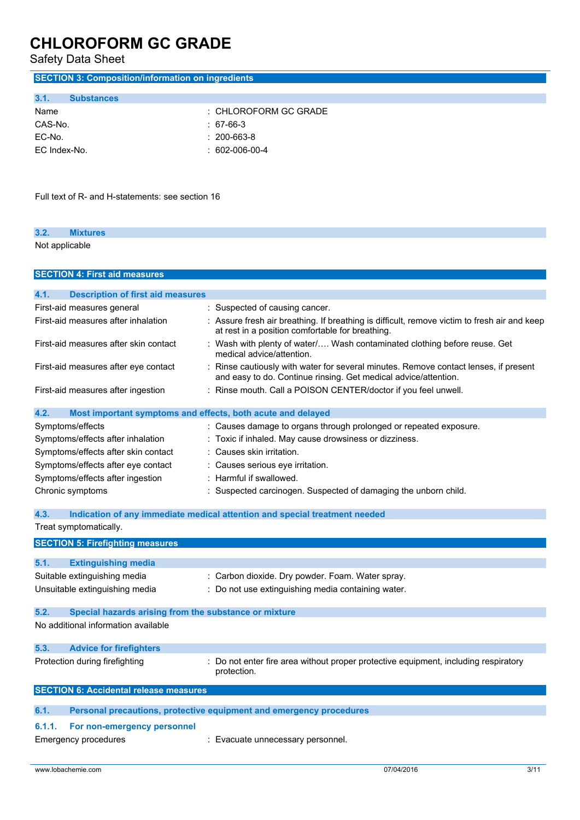Safety Data Sheet

| <b>SECTION 3: Composition/information on ingredients</b>          |                                                                                                                                                         |  |
|-------------------------------------------------------------------|---------------------------------------------------------------------------------------------------------------------------------------------------------|--|
| <b>Substances</b><br>3.1.                                         |                                                                                                                                                         |  |
| Name                                                              | : CHLOROFORM GC GRADE                                                                                                                                   |  |
| CAS-No.                                                           | $: 67-66-3$                                                                                                                                             |  |
| EC-No.                                                            | 200-663-8                                                                                                                                               |  |
| EC Index-No.                                                      | $: 602 - 006 - 00 - 4$                                                                                                                                  |  |
|                                                                   |                                                                                                                                                         |  |
| Full text of R- and H-statements: see section 16                  |                                                                                                                                                         |  |
| 3.2.<br><b>Mixtures</b>                                           |                                                                                                                                                         |  |
| Not applicable                                                    |                                                                                                                                                         |  |
| <b>SECTION 4: First aid measures</b>                              |                                                                                                                                                         |  |
|                                                                   |                                                                                                                                                         |  |
| 4.1.<br><b>Description of first aid measures</b>                  |                                                                                                                                                         |  |
| First-aid measures general<br>First-aid measures after inhalation | : Suspected of causing cancer.                                                                                                                          |  |
|                                                                   | : Assure fresh air breathing. If breathing is difficult, remove victim to fresh air and keep<br>at rest in a position comfortable for breathing.        |  |
| First-aid measures after skin contact                             | : Wash with plenty of water/ Wash contaminated clothing before reuse. Get<br>medical advice/attention.                                                  |  |
| First-aid measures after eye contact                              | : Rinse cautiously with water for several minutes. Remove contact lenses, if present<br>and easy to do. Continue rinsing. Get medical advice/attention. |  |
| First-aid measures after ingestion                                | : Rinse mouth. Call a POISON CENTER/doctor if you feel unwell.                                                                                          |  |
| 4.2.                                                              | Most important symptoms and effects, both acute and delayed                                                                                             |  |
| Symptoms/effects                                                  | : Causes damage to organs through prolonged or repeated exposure.                                                                                       |  |
| Symptoms/effects after inhalation                                 | : Toxic if inhaled. May cause drowsiness or dizziness.                                                                                                  |  |
| Symptoms/effects after skin contact                               | : Causes skin irritation.                                                                                                                               |  |
| Symptoms/effects after eye contact                                | : Causes serious eye irritation.                                                                                                                        |  |
| Symptoms/effects after ingestion                                  | : Harmful if swallowed.                                                                                                                                 |  |
| Chronic symptoms                                                  | : Suspected carcinogen. Suspected of damaging the unborn child.                                                                                         |  |
| 4.3.                                                              | Indication of any immediate medical attention and special treatment needed                                                                              |  |
| Treat symptomatically.                                            |                                                                                                                                                         |  |
| <b>SECTION 5: Firefighting measures</b>                           |                                                                                                                                                         |  |
| 5.1.<br><b>Extinguishing media</b>                                |                                                                                                                                                         |  |
| Suitable extinguishing media                                      | : Carbon dioxide. Dry powder. Foam. Water spray.                                                                                                        |  |
| Unsuitable extinguishing media                                    | : Do not use extinguishing media containing water.                                                                                                      |  |
| 5.2.<br>Special hazards arising from the substance or mixture     |                                                                                                                                                         |  |
| No additional information available                               |                                                                                                                                                         |  |
| 5.3.<br><b>Advice for firefighters</b>                            |                                                                                                                                                         |  |
| Protection during firefighting                                    | : Do not enter fire area without proper protective equipment, including respiratory<br>protection.                                                      |  |
| <b>SECTION 6: Accidental release measures</b>                     |                                                                                                                                                         |  |
| 6.1.                                                              | Personal precautions, protective equipment and emergency procedures                                                                                     |  |
| 6.1.1.<br>For non-emergency personnel                             |                                                                                                                                                         |  |
| <b>Emergency procedures</b>                                       | : Evacuate unnecessary personnel.                                                                                                                       |  |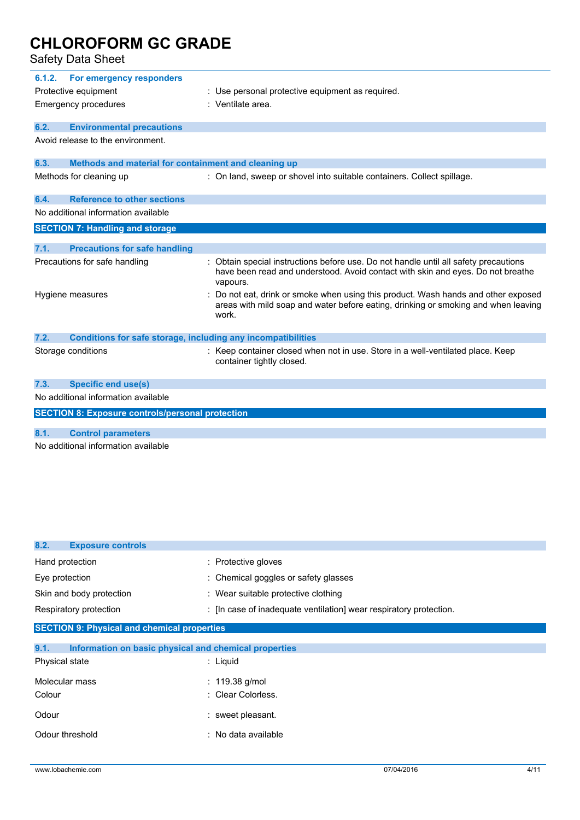| 6.1.2. | For emergency responders<br>Protective equipment<br><b>Emergency procedures</b> | : Use personal protective equipment as required.<br>: Ventilate area.                                                                                                             |
|--------|---------------------------------------------------------------------------------|-----------------------------------------------------------------------------------------------------------------------------------------------------------------------------------|
| 6.2.   | <b>Environmental precautions</b>                                                |                                                                                                                                                                                   |
|        | Avoid release to the environment.                                               |                                                                                                                                                                                   |
| 6.3.   | Methods and material for containment and cleaning up                            |                                                                                                                                                                                   |
|        | Methods for cleaning up                                                         | : On land, sweep or shovel into suitable containers. Collect spillage.                                                                                                            |
| 6.4.   | <b>Reference to other sections</b>                                              |                                                                                                                                                                                   |
|        | No additional information available                                             |                                                                                                                                                                                   |
|        | <b>SECTION 7: Handling and storage</b>                                          |                                                                                                                                                                                   |
|        |                                                                                 |                                                                                                                                                                                   |
| 7.1.   | <b>Precautions for safe handling</b>                                            |                                                                                                                                                                                   |
|        | Precautions for safe handling                                                   | Obtain special instructions before use. Do not handle until all safety precautions<br>have been read and understood. Avoid contact with skin and eyes. Do not breathe<br>vapours. |
|        | Hygiene measures                                                                | Do not eat, drink or smoke when using this product. Wash hands and other exposed<br>areas with mild soap and water before eating, drinking or smoking and when leaving<br>work.   |
| 7.2.   | <b>Conditions for safe storage, including any incompatibilities</b>             |                                                                                                                                                                                   |
|        | Storage conditions                                                              | : Keep container closed when not in use. Store in a well-ventilated place. Keep<br>container tightly closed.                                                                      |
| 7.3.   | <b>Specific end use(s)</b>                                                      |                                                                                                                                                                                   |
|        | No additional information available                                             |                                                                                                                                                                                   |
|        | <b>SECTION 8: Exposure controls/personal protection</b>                         |                                                                                                                                                                                   |
|        |                                                                                 |                                                                                                                                                                                   |
| 8.1.   | <b>Control parameters</b>                                                       |                                                                                                                                                                                   |
|        | No additional information available                                             |                                                                                                                                                                                   |

| 8.2.<br><b>Exposure controls</b>                              |                                                                    |
|---------------------------------------------------------------|--------------------------------------------------------------------|
| Hand protection                                               | : Protective gloves                                                |
| Eye protection                                                | : Chemical goggles or safety glasses                               |
| Skin and body protection                                      | : Wear suitable protective clothing                                |
| Respiratory protection                                        | : [In case of inadequate ventilation] wear respiratory protection. |
| <b>SECTION 9: Physical and chemical properties</b>            |                                                                    |
| 9.1.<br>Information on basic physical and chemical properties |                                                                    |
| Physical state                                                | $:$ Liquid                                                         |
| Molecular mass                                                | : $119.38$ g/mol                                                   |
| Colour                                                        | : Clear Colorless.                                                 |
| Odour                                                         | : sweet pleasant.                                                  |
| Odour threshold                                               | : No data available                                                |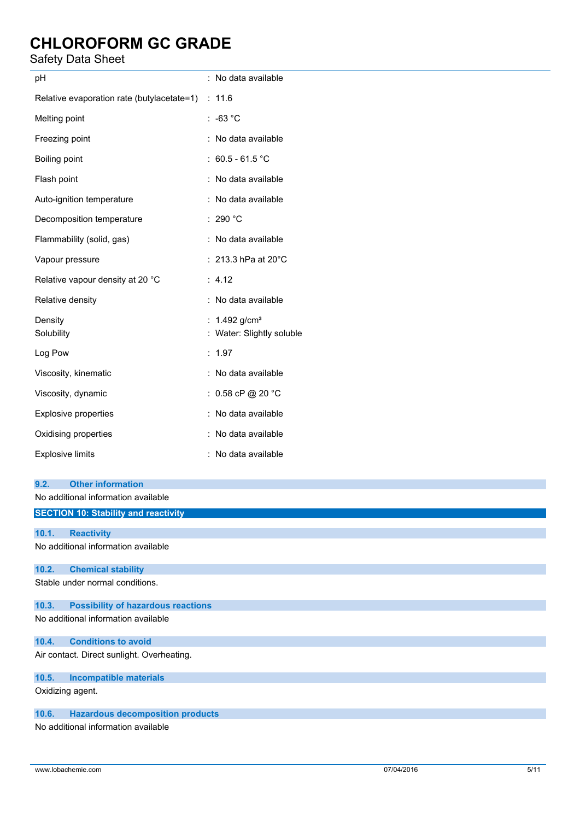## Safety Data Sheet

| pH                                                                      | : No data available                                      |
|-------------------------------------------------------------------------|----------------------------------------------------------|
| Relative evaporation rate (butylacetate=1) : 11.6                       |                                                          |
| Melting point                                                           | $: -63 °C$                                               |
| Freezing point                                                          | : No data available                                      |
| Boiling point                                                           | : $60.5 - 61.5$ °C                                       |
| Flash point                                                             | : No data available                                      |
| Auto-ignition temperature                                               | : No data available                                      |
| Decomposition temperature                                               | : 290 $^{\circ}$ C                                       |
| Flammability (solid, gas)                                               | : No data available                                      |
| Vapour pressure                                                         | : 213.3 hPa at 20°C                                      |
| Relative vapour density at 20 °C                                        | : 4.12                                                   |
| Relative density                                                        | : No data available                                      |
| Density<br>Solubility                                                   | : $1.492$ g/cm <sup>3</sup><br>: Water: Slightly soluble |
| Log Pow                                                                 | : 1.97                                                   |
| Viscosity, kinematic                                                    | : No data available                                      |
| Viscosity, dynamic                                                      | : $0.58$ cP @ 20 °C                                      |
| Explosive properties                                                    | : No data available                                      |
| Oxidising properties                                                    | : No data available                                      |
| <b>Explosive limits</b>                                                 | : No data available                                      |
| <b>Other information</b><br>9.2.<br>No additional information available |                                                          |
| <b>SECTION 10: Stability and reactivity</b>                             |                                                          |
| 10.1.<br><b>Reactivity</b>                                              |                                                          |
| No additional information available                                     |                                                          |
| <b>Chemical stability</b><br>10.2.                                      |                                                          |
| Stable under normal conditions.                                         |                                                          |
| <b>Possibility of hazardous reactions</b><br>10.3.                      |                                                          |
| No additional information available                                     |                                                          |
| <b>Conditions to avoid</b><br>10.4.                                     |                                                          |
| Air contact. Direct sunlight. Overheating.                              |                                                          |
| <b>Incompatible materials</b><br>10.5.                                  |                                                          |

Oxidizing agent.

## **10.6. Hazardous decomposition products**

No additional information available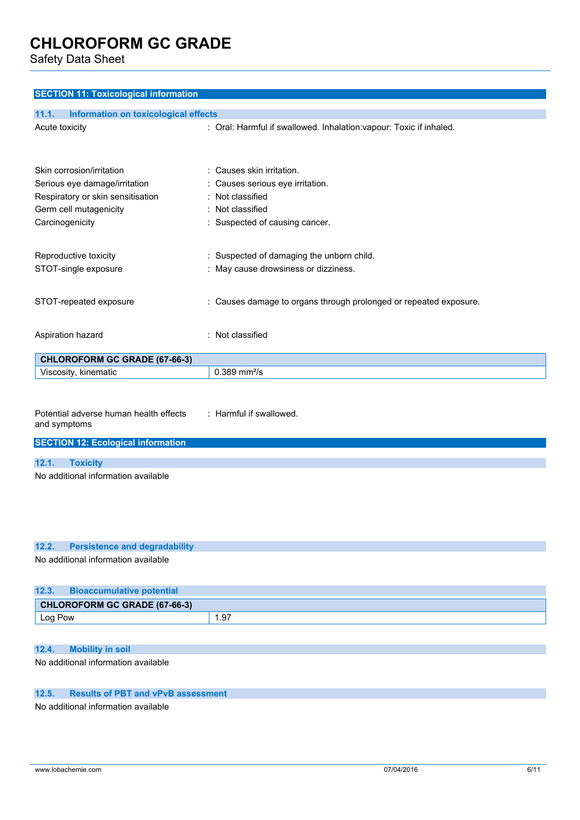Safety Data Sheet

| <b>SECTION 11: Toxicological information</b>         |                                                                     |
|------------------------------------------------------|---------------------------------------------------------------------|
| <b>Information on toxicological effects</b><br>11.1. |                                                                     |
| Acute toxicity                                       | : Oral: Harmful if swallowed. Inhalation: vapour: Toxic if inhaled. |
|                                                      |                                                                     |
|                                                      |                                                                     |
| Skin corrosion/irritation                            | : Causes skin irritation.                                           |
| Serious eye damage/irritation                        | Causes serious eye irritation.                                      |
| Respiratory or skin sensitisation                    | : Not classified                                                    |
| Germ cell mutagenicity                               | Not classified                                                      |
| Carcinogenicity                                      | : Suspected of causing cancer.                                      |
|                                                      |                                                                     |
| Reproductive toxicity                                | : Suspected of damaging the unborn child.                           |
| STOT-single exposure                                 | : May cause drowsiness or dizziness.                                |
|                                                      |                                                                     |
| STOT-repeated exposure                               | : Causes damage to organs through prolonged or repeated exposure.   |
|                                                      |                                                                     |
|                                                      |                                                                     |
| Aspiration hazard                                    | : Not classified                                                    |
| <b>CHLOROFORM GC GRADE (67-66-3)</b>                 |                                                                     |
| Viscosity, kinematic                                 | $0.389$ mm <sup>2</sup> /s                                          |
|                                                      |                                                                     |
|                                                      |                                                                     |
| Potential adverse human health effects               | : Harmful if swallowed.                                             |
| and symptoms                                         |                                                                     |
| <b>SECTION 12: Ecological information</b>            |                                                                     |
|                                                      |                                                                     |

**12.1. Toxicity**

No additional information available

|                                     | 12.2. Persistence and degradability |  |  |
|-------------------------------------|-------------------------------------|--|--|
| No additional information available |                                     |  |  |
|                                     |                                     |  |  |

| 12.3.   | <b>Bioaccumulative potential</b> |       |
|---------|----------------------------------|-------|
|         | CHLOROFORM GC GRADE (67-66-3)    |       |
| Log Pow |                                  | . .97 |

## **12.4. Mobility in soil**

No additional information available

## **12.5. Results of PBT and vPvB assessment**

No additional information available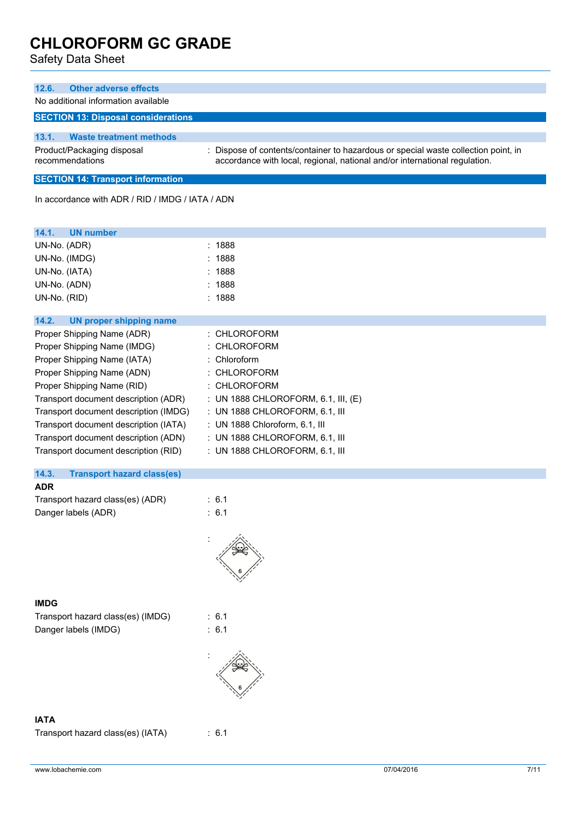| <b>Other adverse effects</b><br>12.6.                                                         |                                                                                  |  |  |  |
|-----------------------------------------------------------------------------------------------|----------------------------------------------------------------------------------|--|--|--|
| No additional information available                                                           |                                                                                  |  |  |  |
| <b>SECTION 13: Disposal considerations</b>                                                    |                                                                                  |  |  |  |
| 13.1.<br><b>Waste treatment methods</b>                                                       |                                                                                  |  |  |  |
| Product/Packaging disposal                                                                    | Dispose of contents/container to hazardous or special waste collection point, in |  |  |  |
| recommendations<br>accordance with local, regional, national and/or international regulation. |                                                                                  |  |  |  |
| <b>SECTION 14: Transport information</b>                                                      |                                                                                  |  |  |  |
| In accordance with ADR / RID / IMDG / IATA / ADN                                              |                                                                                  |  |  |  |
|                                                                                               |                                                                                  |  |  |  |
| 14.1.<br><b>UN number</b>                                                                     |                                                                                  |  |  |  |
| UN-No. (ADR)                                                                                  | : 1888                                                                           |  |  |  |
| UN-No. (IMDG)                                                                                 | 1888                                                                             |  |  |  |
| UN-No. (IATA)                                                                                 | 1888                                                                             |  |  |  |
| UN-No. (ADN)                                                                                  | 1888                                                                             |  |  |  |
| UN-No. (RID)                                                                                  | : 1888                                                                           |  |  |  |
| 14.2.<br><b>UN proper shipping name</b>                                                       |                                                                                  |  |  |  |
| Proper Shipping Name (ADR)                                                                    | : CHLOROFORM                                                                     |  |  |  |
| Proper Shipping Name (IMDG)                                                                   | CHLOROFORM                                                                       |  |  |  |
| Proper Shipping Name (IATA)                                                                   | Chloroform                                                                       |  |  |  |
| Proper Shipping Name (ADN)                                                                    | CHLOROFORM                                                                       |  |  |  |
| Proper Shipping Name (RID)                                                                    | : CHLOROFORM                                                                     |  |  |  |
| Transport document description (ADR)                                                          | : UN 1888 CHLOROFORM, 6.1, III, (E)                                              |  |  |  |
| Transport document description (IMDG)                                                         | : UN 1888 CHLOROFORM, 6.1, III                                                   |  |  |  |
| Transport document description (IATA)                                                         | : UN 1888 Chloroform, 6.1, III                                                   |  |  |  |
| Transport document description (ADN)                                                          | : UN 1888 CHLOROFORM, 6.1, III                                                   |  |  |  |
| Transport document description (RID)                                                          | : UN 1888 CHLOROFORM, 6.1, III                                                   |  |  |  |
|                                                                                               |                                                                                  |  |  |  |
| 14.3.<br><b>Transport hazard class(es)</b>                                                    |                                                                                  |  |  |  |
| <b>ADR</b>                                                                                    |                                                                                  |  |  |  |
| Transport hazard class(es) (ADR)                                                              | : 6.1                                                                            |  |  |  |
| Danger labels (ADR)                                                                           | : 6.1                                                                            |  |  |  |
|                                                                                               |                                                                                  |  |  |  |
|                                                                                               |                                                                                  |  |  |  |
|                                                                                               |                                                                                  |  |  |  |
|                                                                                               |                                                                                  |  |  |  |
|                                                                                               |                                                                                  |  |  |  |
| <b>IMDG</b>                                                                                   |                                                                                  |  |  |  |
| Transport hazard class(es) (IMDG)                                                             | : 6.1                                                                            |  |  |  |
| Danger labels (IMDG)                                                                          | : 6.1                                                                            |  |  |  |
|                                                                                               |                                                                                  |  |  |  |
|                                                                                               |                                                                                  |  |  |  |
|                                                                                               |                                                                                  |  |  |  |
|                                                                                               |                                                                                  |  |  |  |
|                                                                                               |                                                                                  |  |  |  |
| <b>IATA</b>                                                                                   |                                                                                  |  |  |  |
| Transport hazard class(es) (IATA)                                                             | : 6.1                                                                            |  |  |  |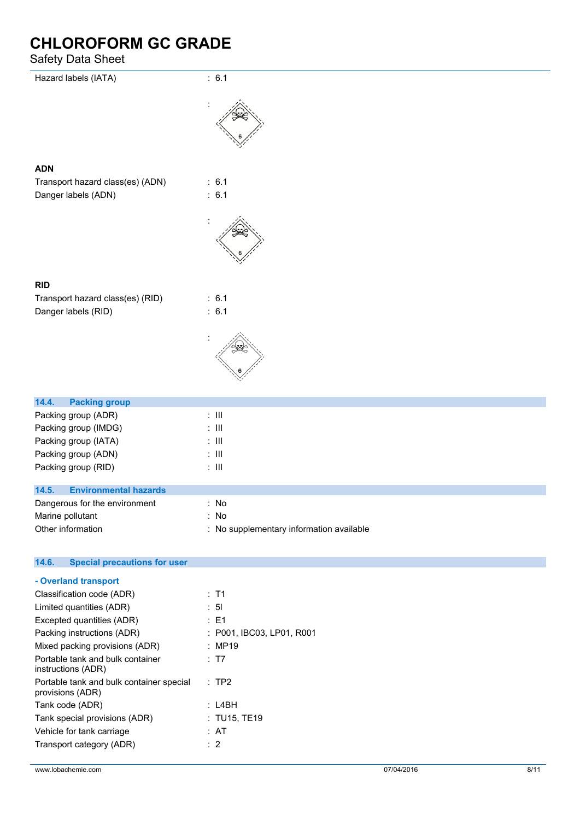| Safety Data Sheet                            |                                          |
|----------------------------------------------|------------------------------------------|
| Hazard labels (IATA)                         | : 6.1                                    |
|                                              |                                          |
|                                              |                                          |
|                                              |                                          |
| <b>ADN</b>                                   |                                          |
| Transport hazard class(es) (ADN)             | : 6.1                                    |
| Danger labels (ADN)                          | : 6.1                                    |
|                                              |                                          |
|                                              |                                          |
|                                              |                                          |
| <b>RID</b>                                   |                                          |
| Transport hazard class(es) (RID)             | : 6.1                                    |
| Danger labels (RID)                          | : 6.1                                    |
|                                              |                                          |
|                                              |                                          |
| 14.4.<br><b>Packing group</b>                |                                          |
| Packing group (ADR)                          | $\colon$ III                             |
| Packing group (IMDG)                         | $\colon$ III                             |
| Packing group (IATA)                         | $\div$ III                               |
| Packing group (ADN)                          | $\colon$ III                             |
| Packing group (RID)                          | $\colon$ III                             |
| 14.5.<br><b>Environmental hazards</b>        |                                          |
| Dangerous for the environment                | : No                                     |
| Marine pollutant                             | : No                                     |
| Other information                            | : No supplementary information available |
| 14.6.<br><b>Special precautions for user</b> |                                          |
| - Overland transport                         |                                          |
| Classification code (ADR)                    | : T1                                     |

| Classification code (ADR)                                    | : 11                      |
|--------------------------------------------------------------|---------------------------|
| Limited quantities (ADR)                                     | : 5I                      |
| Excepted quantities (ADR)                                    | : E1                      |
| Packing instructions (ADR)                                   | : P001, IBC03, LP01, R001 |
| Mixed packing provisions (ADR)                               | : MP19                    |
| Portable tank and bulk container<br>instructions (ADR)       | : T7                      |
| Portable tank and bulk container special<br>provisions (ADR) | :TP2                      |
| Tank code (ADR)                                              | : L4BH                    |
| Tank special provisions (ADR)                                | : TU15, TE19              |
| Vehicle for tank carriage                                    | : AT                      |
| Transport category (ADR)                                     | $\therefore$ 2            |
|                                                              |                           |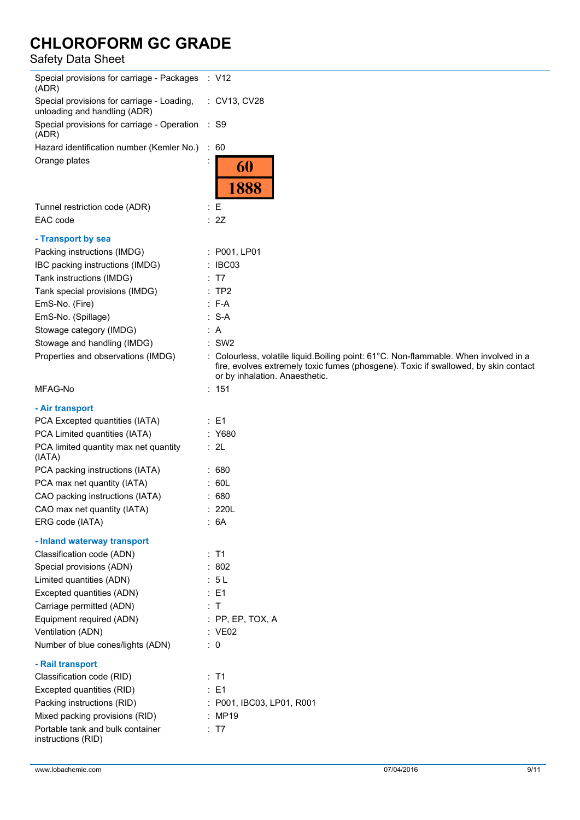| Special provisions for carriage - Packages : V12<br>(ADR)                  |                                                                                                                                                                                                               |
|----------------------------------------------------------------------------|---------------------------------------------------------------------------------------------------------------------------------------------------------------------------------------------------------------|
| Special provisions for carriage - Loading,<br>unloading and handling (ADR) | : CV13, CV28                                                                                                                                                                                                  |
| Special provisions for carriage - Operation<br>(ADR)                       | : S9                                                                                                                                                                                                          |
| Hazard identification number (Kemler No.)                                  | : 60                                                                                                                                                                                                          |
| Orange plates                                                              | 60<br>1888                                                                                                                                                                                                    |
| Tunnel restriction code (ADR)                                              | $\colon E$                                                                                                                                                                                                    |
| EAC code                                                                   | : 2Z                                                                                                                                                                                                          |
| - Transport by sea                                                         |                                                                                                                                                                                                               |
| Packing instructions (IMDG)                                                | : P001, LP01                                                                                                                                                                                                  |
| IBC packing instructions (IMDG)                                            | : IBC03                                                                                                                                                                                                       |
| Tank instructions (IMDG)                                                   | T7                                                                                                                                                                                                            |
| Tank special provisions (IMDG)                                             | $:$ TP2                                                                                                                                                                                                       |
| EmS-No. (Fire)                                                             | $: F-A$                                                                                                                                                                                                       |
| EmS-No. (Spillage)                                                         | $: S-A$                                                                                                                                                                                                       |
| Stowage category (IMDG)                                                    | : A                                                                                                                                                                                                           |
| Stowage and handling (IMDG)                                                | $:$ SW2                                                                                                                                                                                                       |
| Properties and observations (IMDG)                                         | : Colourless, volatile liquid.Boiling point: 61°C. Non-flammable. When involved in a<br>fire, evolves extremely toxic fumes (phosgene). Toxic if swallowed, by skin contact<br>or by inhalation. Anaesthetic. |
| MFAG-No                                                                    | : 151                                                                                                                                                                                                         |
| - Air transport                                                            |                                                                                                                                                                                                               |
| PCA Excepted quantities (IATA)                                             | $\therefore$ E1                                                                                                                                                                                               |
| PCA Limited quantities (IATA)                                              | : Y680                                                                                                                                                                                                        |
| PCA limited quantity max net quantity<br>(IATA)                            | : 2L                                                                                                                                                                                                          |
| PCA packing instructions (IATA)                                            | :680                                                                                                                                                                                                          |
| PCA max net quantity (IATA)                                                | : 60L                                                                                                                                                                                                         |
| CAO packing instructions (IATA)                                            | :680                                                                                                                                                                                                          |
| CAO max net quantity (IATA)                                                | : 220L                                                                                                                                                                                                        |
| ERG code (IATA)                                                            | :6A                                                                                                                                                                                                           |
| - Inland waterway transport                                                |                                                                                                                                                                                                               |
| Classification code (ADN)                                                  | : T1                                                                                                                                                                                                          |
| Special provisions (ADN)                                                   | : 802                                                                                                                                                                                                         |
| Limited quantities (ADN)                                                   | : 5L                                                                                                                                                                                                          |
| Excepted quantities (ADN)                                                  | $\therefore$ E1                                                                                                                                                                                               |
| Carriage permitted (ADN)                                                   | : T                                                                                                                                                                                                           |
| Equipment required (ADN)                                                   | $:$ PP, EP, TOX, A                                                                                                                                                                                            |
| Ventilation (ADN)                                                          | : VE02                                                                                                                                                                                                        |
| Number of blue cones/lights (ADN)                                          | $\therefore$ 0                                                                                                                                                                                                |
| - Rail transport                                                           |                                                                                                                                                                                                               |
| Classification code (RID)                                                  | : T1                                                                                                                                                                                                          |
| Excepted quantities (RID)                                                  | : E1                                                                                                                                                                                                          |
| Packing instructions (RID)                                                 | : P001, IBC03, LP01, R001                                                                                                                                                                                     |
| Mixed packing provisions (RID)                                             | : MP19                                                                                                                                                                                                        |
| Portable tank and bulk container<br>instructions (RID)                     | : T7                                                                                                                                                                                                          |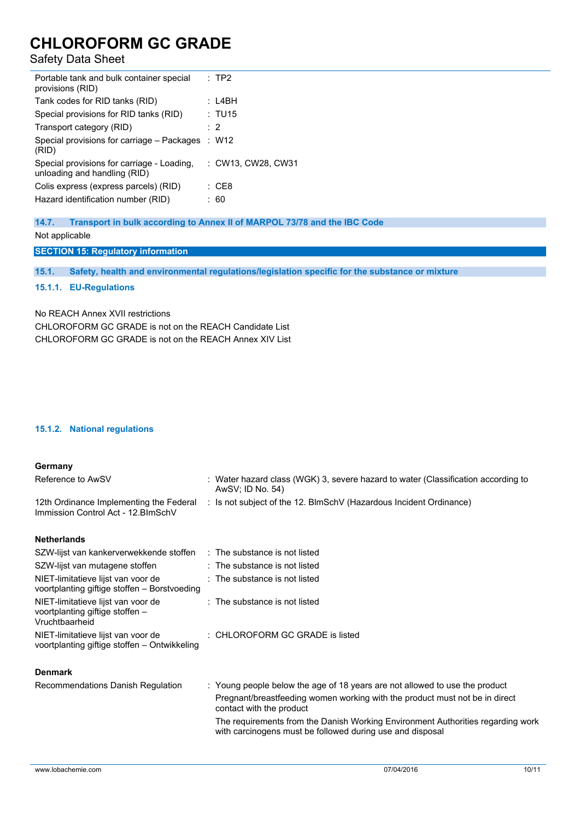## Safety Data Sheet

| Portable tank and bulk container special<br>provisions (RID)               | : TP2              |
|----------------------------------------------------------------------------|--------------------|
| Tank codes for RID tanks (RID)                                             | : L4BH             |
| Special provisions for RID tanks (RID)                                     | : TU15             |
| Transport category (RID)                                                   | $\cdot$ 2          |
| Special provisions for carriage – Packages<br>(RID)                        | : W12              |
| Special provisions for carriage - Loading,<br>unloading and handling (RID) | : CW13. CW28. CW31 |
| Colis express (express parcels) (RID)                                      | : CF8              |
| Hazard identification number (RID)                                         | 60                 |
|                                                                            |                    |

## **14.7. Transport in bulk according to Annex II of MARPOL 73/78 and the IBC Code**

```
Not applicable
```
## **SECTION 15: Regulatory information**

**15.1. Safety, health and environmental regulations/legislation specific for the substance or mixture**

## **15.1.1. EU-Regulations**

## No REACH Annex XVII restrictions

CHLOROFORM GC GRADE is not on the REACH Candidate List CHI OROFORM GC GRADE is not on the REACH Annex XIV List

## **15.1.2. National regulations**

voortplanting giftige stoffen – Ontwikkeling

| Germany                                                                            |                                                                                                       |
|------------------------------------------------------------------------------------|-------------------------------------------------------------------------------------------------------|
| Reference to AwSV                                                                  | : Water hazard class (WGK) 3, severe hazard to water (Classification according to<br>AwSV; ID No. 54) |
| 12th Ordinance Implementing the Federal<br>Immission Control Act - 12. BlmSchV     | : Is not subject of the 12. BlmSchV (Hazardous Incident Ordinance)                                    |
| Netherlands                                                                        |                                                                                                       |
| SZW-lijst van kankerverwekkende stoffen                                            | $\therefore$ The substance is not listed                                                              |
| SZW-lijst van mutagene stoffen                                                     | $\therefore$ The substance is not listed                                                              |
| NIET-limitatieve lijst van voor de<br>voortplanting giftige stoffen - Borstvoeding | $\therefore$ The substance is not listed                                                              |

| NIET-limitatieve lijst van voor de<br>voortplanting giftige stoffen -<br>Vruchtbaarheid | $\therefore$ The substance is not listed |
|-----------------------------------------------------------------------------------------|------------------------------------------|
| NIET-limitatieve lijst van voor de                                                      | : CHLOROFORM GC GRADE is listed          |

## **Denmark**

| Recommendations Danish Regulation | : Young people below the age of 18 years are not allowed to use the product                                                                  |
|-----------------------------------|----------------------------------------------------------------------------------------------------------------------------------------------|
|                                   | Pregnant/breastfeeding women working with the product must not be in direct<br>contact with the product                                      |
|                                   | The requirements from the Danish Working Environment Authorities regarding work<br>with carcinogens must be followed during use and disposal |